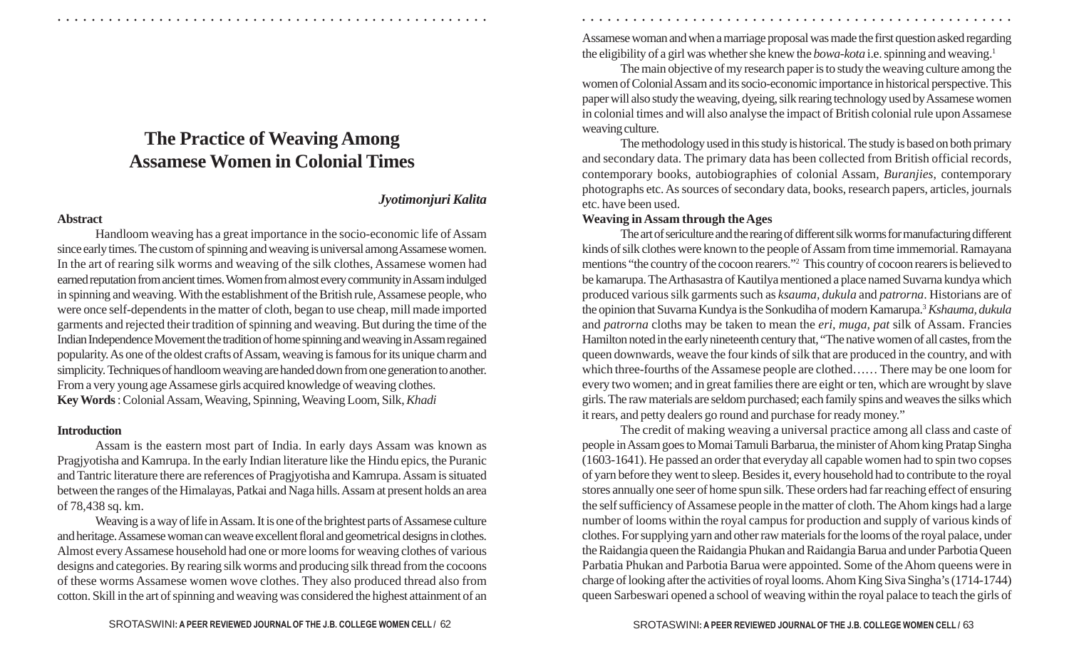# **The Practice of Weaving Among Assamese Women in Colonial Times**

#### *Jyotimonjuri Kalita*

#### **Abstract**

Handloom weaving has a great importance in the socio-economic life of Assam since early times. The custom of spinning and weaving is universal among Assamese women. In the art of rearing silk worms and weaving of the silk clothes, Assamese women had earned reputation from ancient times. Women from almost every community in Assam indulged in spinning and weaving. With the establishment of the British rule, Assamese people, who were once self-dependents in the matter of cloth, began to use cheap, mill made imported garments and rejected their tradition of spinning and weaving. But during the time of the Indian Independence Movement the tradition of home spinning and weaving in Assam regained popularity. As one of the oldest crafts of Assam, weaving is famous for its unique charm and simplicity.Techniques of handloom weaving are handed down from one generation to another. From a very young age Assamese girls acquired knowledge of weaving clothes. **Key Words** : Colonial Assam, Weaving, Spinning, Weaving Loom, Silk, *Khadi*

#### **Introduction**

Assam is the eastern most part of India. In early days Assam was known as Pragjyotisha and Kamrupa. In the early Indian literature like the Hindu epics, the Puranic and Tantric literature there are references of Pragjyotisha and Kamrupa. Assam is situated between the ranges of the Himalayas, Patkai and Naga hills. Assam at present holds an area of 78,438 sq. km.

Weaving is a way of life in Assam. It is one of the brightest parts of Assamese culture and heritage. Assamese woman can weave excellent floral and geometrical designs in clothes. Almost every Assamese household had one or more looms for weaving clothes of various designs and categories. By rearing silk worms and producing silk thread from the cocoons of these worms Assamese women wove clothes. They also produced thread also from cotton. Skill in the art of spinning and weaving was considered the highest attainment of an Assamese woman and when a marriage proposal was made the first question asked regarding the eligibility of a girl was whether she knew the *bowa-kota* i.e. spinning and weaving. 1

○ ○ ○ ○ ○ ○ ○ ○ ○ ○ ○ ○ ○ ○ ○ ○ ○ ○ ○ ○ ○ ○ ○ ○ ○ ○ ○ ○ ○ ○ ○ ○ ○ ○ ○ ○ ○ ○ ○ ○ ○ ○ ○ ○ ○ ○ ○ ○ ○ ○ ○ ○ ○ ○ ○ ○ ○ ○ ○ ○ ○ ○ ○ ○ ○ ○ ○ ○ ○ ○ ○ ○ ○ ○ ○ ○ ○ ○ ○ ○ ○ ○ ○ ○ ○ ○ ○ ○ ○ ○ ○ ○ ○ ○ ○ ○ ○ ○ ○ ○ ○ ○

The main objective of my research paper is to study the weaving culture among the women of Colonial Assam and its socio-economic importance in historical perspective. This paper will also study the weaving, dyeing, silk rearing technology used by Assamese women in colonial times and will also analyse the impact of British colonial rule upon Assamese weaving culture.

The methodology used in this study is historical. The study is based on both primary and secondary data. The primary data has been collected from British official records, contemporary books, autobiographies of colonial Assam, *Buranjies*, contemporary photographs etc. As sources of secondary data, books, research papers, articles, journals etc. have been used.

## **Weaving in Assam through the Ages**

The art of sericulture and the rearing of different silk worms for manufacturing different kinds of silk clothes were known to the people of Assam from time immemorial. Ramayana mentions "the country of the cocoon rearers." <sup>2</sup> This country of cocoon rearers is believed to be kamarupa. The Arthasastra of Kautilya mentioned a place named Suvarna kundya which produced various silk garments such as *ksauma, dukula* and *patrorna*. Historians are of the opinion that Suvarna Kundya is the Sonkudiha of modern Kamarupa. <sup>3</sup>*Kshauma, dukula* and *patrorna* cloths may be taken to mean the *eri, muga, pat* silk of Assam. Francies Hamilton noted in the early nineteenth century that, "The native women of all castes, from the queen downwards, weave the four kinds of silk that are produced in the country, and with which three-fourths of the Assamese people are clothed…… There may be one loom for every two women; and in great families there are eight or ten, which are wrought by slave girls. The raw materials are seldom purchased; each family spins and weaves the silks which it rears, and petty dealers go round and purchase for ready money."

The credit of making weaving a universal practice among all class and caste of people in Assam goes to Momai Tamuli Barbarua, the minister of Ahom king Pratap Singha (1603-1641). He passed an order that everyday all capable women had to spin two copses of yarn before they went to sleep. Besides it, every household had to contribute to the royal stores annually one seer of home spun silk. These orders had far reaching effect of ensuring the self sufficiency of Assamese people in the matter of cloth. The Ahom kings had a large number of looms within the royal campus for production and supply of various kinds of clothes. For supplying yarn and other raw materials for the looms of the royal palace, under the Raidangia queen the Raidangia Phukan and Raidangia Barua and under Parbotia Queen Parbatia Phukan and Parbotia Barua were appointed. Some of the Ahom queens were in charge of looking after the activities of royal looms. Ahom King Siva Singha's (1714-1744) queen Sarbeswari opened a school of weaving within the royal palace to teach the girls of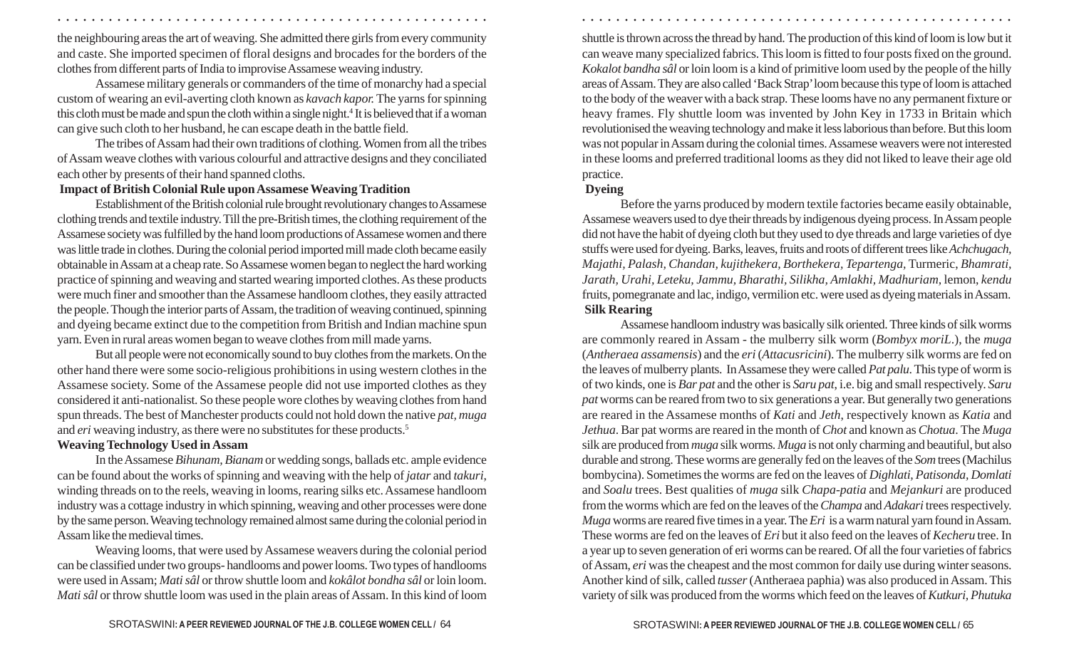the neighbouring areas the art of weaving. She admitted there girls from every community and caste. She imported specimen of floral designs and brocades for the borders of the clothes from different parts of India to improvise Assamese weaving industry.

○ ○ ○ ○ ○ ○ ○ ○ ○ ○ ○ ○ ○ ○ ○ ○ ○ ○ ○ ○ ○ ○ ○ ○ ○ ○ ○ ○ ○ ○ ○ ○ ○ ○ ○ ○ ○ ○ ○ ○ ○ ○ ○ ○ ○ ○ ○ ○ ○ ○ ○ ○ ○ ○ ○ ○ ○ ○ ○ ○ ○ ○ ○ ○ ○ ○ ○ ○ ○ ○ ○ ○ ○ ○ ○ ○ ○ ○ ○ ○ ○ ○ ○ ○ ○ ○ ○ ○ ○ ○ ○ ○ ○ ○ ○ ○ ○ ○ ○ ○ ○ ○

Assamese military generals or commanders of the time of monarchy had a special custom of wearing an evil-averting cloth known as *kavach kapor.*The yarns for spinning this cloth must be made and spun the cloth within a single night. <sup>4</sup> It is believed that if a woman can give such cloth to her husband, he can escape death in the battle field.

The tribes of Assam had their own traditions of clothing. Women from all the tribes of Assam weave clothes with various colourful and attractive designs and they conciliated each other by presents of their hand spanned cloths.

#### **Impact of British Colonial Rule upon Assamese Weaving Tradition**

Establishment of the British colonial rule brought revolutionary changes to Assamese clothing trends and textile industry. Till the pre-British times, the clothing requirement of the Assamese society was fulfilled by the hand loom productions of Assamese women and there was little trade in clothes. During the colonial period imported mill made cloth became easily obtainable in Assam at a cheap rate. So Assamese women began to neglect the hard working practice of spinning and weaving and started wearing imported clothes. As these products were much finer and smoother than the Assamese handloom clothes, they easily attracted the people. Though the interior parts of Assam, the tradition of weaving continued, spinning and dyeing became extinct due to the competition from British and Indian machine spun yarn. Even in rural areas women began to weave clothes from mill made yarns.

But all people were not economically sound to buy clothes from the markets. On the other hand there were some socio-religious prohibitions in using western clothes in the Assamese society. Some of the Assamese people did not use imported clothes as they considered it anti-nationalist. So these people wore clothes by weaving clothes from hand spun threads. The best of Manchester products could not hold down the native *pat, muga* and *eri* weaving industry, as there were no substitutes for these products. 5

#### **Weaving Technology Used in Assam**

In the Assamese *Bihunam, Bianam* or wedding songs, ballads etc. ample evidence can be found about the works of spinning and weaving with the help of *jatar* and *takuri*, winding threads on to the reels, weaving in looms, rearing silks etc. Assamese handloom industry was a cottage industry in which spinning, weaving and other processes were done by the same person. Weaving technology remained almost same during the colonial period in Assam like the medieval times.

Weaving looms, that were used by Assamese weavers during the colonial period can be classified under two groups- handlooms and power looms. Two types of handlooms were used in Assam; *Mati sâl* or throw shuttle loom and *kokâlot bondha sâl* or loin loom. *Mati sâl* or throw shuttle loom was used in the plain areas of Assam. In this kind of loom shuttle is thrown across the thread by hand. The production of this kind of loom is low but it can weave many specialized fabrics. This loom is fitted to four posts fixed on the ground. *Kokalot bandha sâl* or loin loom is a kind of primitive loom used by the people of the hilly areas of Assam. They are also called 'Back Strap' loom because this type of loom is attached to the body of the weaver with a back strap. These looms have no any permanent fixture or heavy frames. Fly shuttle loom was invented by John Key in 1733 in Britain which revolutionised the weaving technology and make it less laborious than before. But this loom was not popular in Assam during the colonial times. Assamese weavers were not interested in these looms and preferred traditional looms as they did not liked to leave their age old practice.

## **Dyeing**

Before the yarns produced by modern textile factories became easily obtainable, Assamese weavers used to dye their threads by indigenous dyeing process. In Assam people did not have the habit of dyeing cloth but they used to dye threads and large varieties of dye stuffs were used for dyeing. Barks, leaves, fruits and roots of different trees like *Achchugach, Majathi, Palash, Chandan, kujithekera, Borthekera, Tepartenga,* Turmeric, *Bhamrati, Jarath, Urahi, Leteku, Jammu, Bharathi, Silikha, Amlakhi, Madhuriam,* lemon, *kendu* fruits, pomegranate and lac, indigo, vermilion etc. were used as dyeing materials in Assam.  **Silk Rearing**

Assamese handloom industry was basically silk oriented. Three kinds of silk worms are commonly reared in Assam - the mulberry silk worm (*Bombyx moriL*.), the *muga* (*Antheraea assamensis*) and the *eri* (*Attacusricini*). The mulberry silk worms are fed on the leaves of mulberry plants. In Assamese they were called *Pat palu*. This type of worm is of two kinds, one is *Bar pat* and the other is *Saru pat*, i.e. big and small respectively. *Sar u pa<sup>t</sup>* worms can be reared from two to six generations a year. But generally two generations are reared in the Assamese months of *Kati* and *Jeth*, respectively known as *Katia* and *Jethua*. Bar pat worms are reared in the month of *Chot* and known as *Chotua*. The *Muga* silk are produced from *muga* silk worms*. Muga* is not only charming and beautiful, but also durable and strong. These worms are generally fed on the leaves of the *Som* trees (Machilus bombycina). Sometimes the worms are fed on the leaves of *Dighlati, Patisonda, Domlati* and *Soalu* trees. Best qualities of *muga* silk *Chapa-patia* and *Mejankuri* are produced from the worms which are fed on the leaves of the *Champa* and *Adakari* trees respectively. *Muga* worms are reared five times in a year. The *Eri* is a warm natural yarn found in Assam. These worms are fed on the leaves of *Eri* but it also feed on the leaves of *Kecheru* tree. In a year up to seven generation of eri worms can be reared. Of all the four varieties of fabrics of Assam, *eri* was the cheapest and the most common for daily use during winter seasons. Another kind of silk, called *tusser* (Antheraea paphia) was also produced in Assam. This variety of silk was produced from the worms which feed on the leaves of *Kutkuri, Phutuka*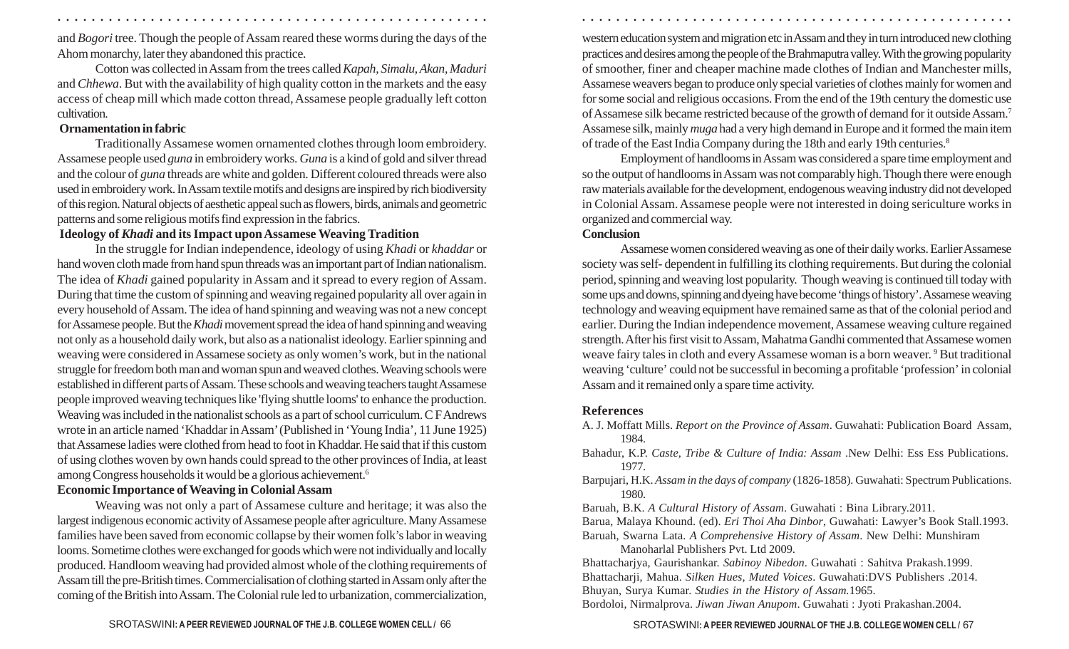and *Bogori* tree. Though the people of Assam reared these worms during the days of the Ahom monarchy, later they abandoned this practice.

○ ○ ○ ○ ○ ○ ○ ○ ○ ○ ○ ○ ○ ○ ○ ○ ○ ○ ○ ○ ○ ○ ○ ○ ○ ○ ○ ○ ○ ○ ○ ○ ○ ○ ○ ○ ○ ○ ○ ○ ○ ○ ○ ○ ○ ○ ○ ○ ○ ○ ○ ○ ○ ○ ○ ○ ○ ○ ○ ○ ○ ○ ○ ○ ○ ○ ○ ○ ○ ○ ○ ○ ○ ○ ○ ○ ○ ○ ○ ○ ○ ○ ○ ○ ○ ○ ○ ○ ○ ○ ○ ○ ○ ○ ○ ○ ○ ○ ○ ○ ○ ○

Cotton was collected in Assam from the trees called *Kapah, Simalu, Akan, Maduri* and *Chhewa*. But with the availability of high quality cotton in the markets and the easy access of cheap mill which made cotton thread, Assamese people gradually left cotton cultivation.

## **Ornamentation in fabric**

Traditionally Assamese women ornamented clothes through loom embroidery. Assamese people used *guna* in embroidery works. *Guna* is a kind of gold and silver thread and the colour of *guna* threads are white and golden. Different coloured threads were also used in embroidery work. In Assam textile motifs and designs are inspired by rich biodiversity of this region. Natural objects of aesthetic appeal such as flowers, birds, animals and geometric patterns and some religious motifs find expression in the fabrics.

# **Ideology of** *Khadi* **and its Impact upon Assamese Weaving Tradition**

In the struggle for Indian independence, ideology of using *Khadi* or *khaddar* or hand woven cloth made from hand spun threads was an important part of Indian nationalism. The idea of *Khadi* gained popularity in Assam and it spread to every region of Assam. During that time the custom of spinning and weaving regained popularity all over again in every household of Assam. The idea of hand spinning and weaving was not a new concept for Assamese people. But the *Khadi* movement spread the idea of hand spinning and weaving not only as a household daily work, but also as a nationalist ideology. Earlier spinning and weaving were considered in Assamese society as only women's work, but in the national struggle for freedom both man and woman spun and weaved clothes. Weaving schools were established in different parts of Assam. These schools and weaving teachers taught Assamese people improved weaving techniques like 'flying shuttle looms' to enhance the production. Weaving was included in the nationalist schools as a part of school curriculum. C F Andrews wrote in an article named 'Khaddar in Assam' (Published in 'Young India', 11 June 1925) that Assamese ladies were clothed from head to foot in Khaddar. He said that if this custom of using clothes woven by own hands could spread to the other provinces of India, at least among Congress households it would be a glorious achievement. 6

# **Economic Importance of Weaving in Colonial Assam**

Weaving was not only a part of Assamese culture and heritage; it was also the largest indigenous economic activity of Assamese people after agriculture. Many Assamese families have been saved from economic collapse by their women folk's labor in weaving looms. Sometime clothes were exchanged for goods which were not individually and locally produced. Handloom weaving had provided almost whole of the clothing requirements of Assam till the pre-British times. Commercialisation of clothing started in Assam only after the coming of the British into Assam. The Colonial rule led to urbanization, commercialization,

western education system and migration etc in Assam and they in turn introduced new clothing practices and desires among the people of the Brahmaputra valley. With the growing popularity of smoother, finer and cheaper machine made clothes of Indian and Manchester mills, Assamese weavers began to produce only special varieties of clothes mainly for women and for some social and religious occasions. From the end of the 19th century the domestic use of Assamese silk became restricted because of the growth of demand for it outside Assam. 7 Assamese silk, mainly *muga* had a very high demand in Europe and it formed the main item of trade of the East India Company during the 18th and early 19th centuries. 8

Employment of handlooms in Assam was considered a spare time employment and so the output of handlooms in Assam was not comparably high. Though there were enough raw materials available for the development, endogenous weaving industry did not developed in Colonial Assam. Assamese people were not interested in doing sericulture works in organized and commercial way.

## **Conclusion**

Assamese women considered weaving as one of their daily works. Earlier Assamese society was self- dependent in fulfilling its clothing requirements. But during the colonial period, spinning and weaving lost popularity. Though weaving is continued till today with some ups and downs, spinning and dyeing have become 'things of history'. Assamese weaving technology and weaving equipment have remained same as that of the colonial period and earlier. During the Indian independence movement, Assamese weaving culture regained strength. After his first visit to Assam, Mahatma Gandhi commented that Assamese women weave fairy tales in cloth and every Assamese woman is a born weaver. <sup>9</sup> But traditional weaving 'culture' could not be successful in becoming a profitable 'profession' in colonial Assam and it remained only a spare time activity.

# **References**

- A. J. Moffatt Mills. *Report on the Province of Assam*. Guwahati: Publication Board Assam, 1984.
- Bahadur, K.P. *Caste, Tribe & Culture of India: Assam* .New Delhi: Ess Ess Publications. 1977.
- Barpujari, H.K. *Assam in the days of company* (1826-1858). Guwahati: Spectrum Publications. 1980.

Baruah, B.K. *A Cultural History of Assam*. Guwahati : Bina Library.2011.

Barua, Malaya Khound. (ed). *Eri Thoi Aha Dinbor*, Guwahati: Lawyer's Book Stall.1993. Baruah, Swarna Lata. *A Comprehensive History of Assam*. New Delhi: Munshiram

Manoharlal Publishers Pvt. Ltd 2009.

Bhattacharjya, Gaurishankar. *Sabinoy Nibedon*. Guwahati : Sahitva Prakash.1999. Bhattacharji, Mahua. *Silken Hues, Muted Voices*. Guwahati:DVS Publishers .2014. Bhuyan, Surya Kumar. *Studies in the History of Assam.*1965.

Bordoloi, Nirmalprova. *Jiwan Jiwan Anupom*. Guwahati : Jyoti Prakashan.2004.